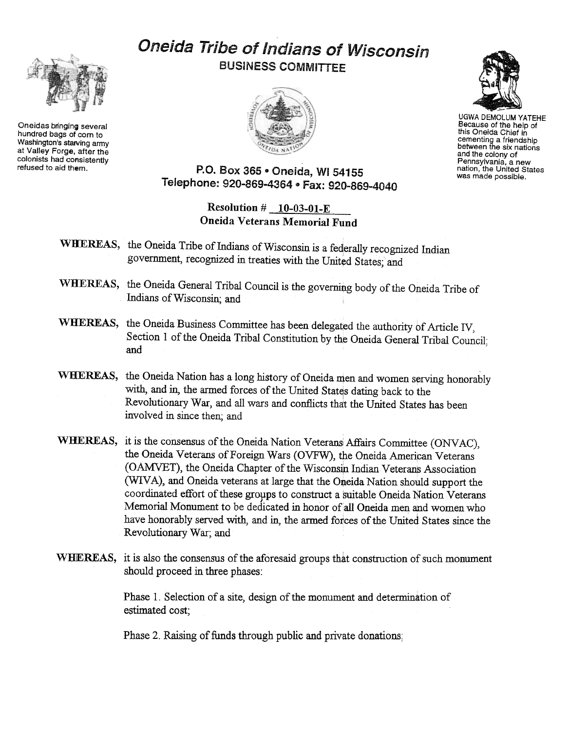Oneidas bringing several hundred bags of corn to Washington's starving army at Valley Forge, after the colonists had consistently<br>refused to aid them.

## Oneida Tribe of Indians of Wisconsin BUSINESS COMMITTEE





UGWA DEMOLUM YATEHE Because of the help of this Oneida Chief in cementing a friendship<br>between the six nation and the colony of Pennsylvania, a new nation, the United States was made possible.

## P.O. Box 365 . Oneida, WI 54155 Telephone: 920-869-4364 ~ Fax: 920-869-4040

Resolution  $\#$  10-03-01-E Oneida Veterans Memorial Fund

- WHEREAS, the Oneida Tribe of Indians of Wisconsin is a federally recognized Indian government, recognized in treaties with the United States; and
- WHEREAS, the Oneida General Tribal Council is the governing body of the Oneida Tribe of Indians of Wisconsin; and
- WHEREAS, the Oneida Business Committee has been delegated the authority of Article IV, Section 1 of the Oneida Tribal Constitution by the Oneida General Tribal Council; and
- WHEREAS, the Oneida Nation has a long history of Oneida men and women serving honorably with, and in, the armed forces of the United States dating back to the Revolutionary War, and all wars and conflicts that the United States has been involved in since then; and
- WHEREAS, it is the consensus of the Oneida Nation Veterans Affairs Committee (ONVAC), the Oneida Veterans of Foreign Wars (OVFW), the Oneida American Veterans (OAMVET), the Oneida Chapter of the Wisconsin Indian Veterans Association (WIVA), and Oneida veterans at large that the Oneida Nation should support the coordinated effort of these groups to construct a suitable Oneida Nation Veterans Memorial Monument to be dedicated in honor of all Oneida men and women who have honorably served with, and in, the armed forces of the United States since the Revolutionary War; and
- WHEREAS, it is also the consensus of the aforesaid groups that construction of such monument should proceed in three phases:

Phase 1. Selection of a site, design of the monument and determination of estimated cost;

Phase 2. Raising of funds through public and private donations;